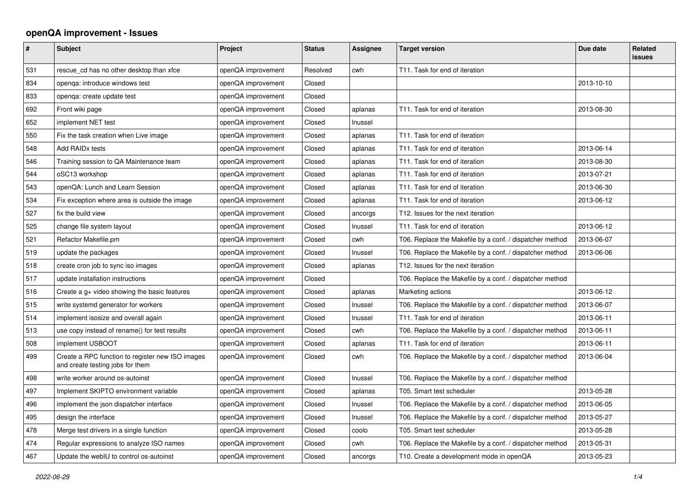## **openQA improvement - Issues**

| $\sharp$ | <b>Subject</b>                                                                       | Project            | <b>Status</b> | Assignee | <b>Target version</b>                                    | Due date   | <b>Related</b><br><b>issues</b> |
|----------|--------------------------------------------------------------------------------------|--------------------|---------------|----------|----------------------------------------------------------|------------|---------------------------------|
| 531      | rescue cd has no other desktop than xfce                                             | openQA improvement | Resolved      | cwh      | T11. Task for end of iteration                           |            |                                 |
| 834      | openga: introduce windows test                                                       | openQA improvement | Closed        |          |                                                          | 2013-10-10 |                                 |
| 833      | openga: create update test                                                           | openQA improvement | Closed        |          |                                                          |            |                                 |
| 692      | Front wiki page                                                                      | openQA improvement | Closed        | aplanas  | T11. Task for end of iteration                           | 2013-08-30 |                                 |
| 652      | implement NET test                                                                   | openQA improvement | Closed        | Inussel  |                                                          |            |                                 |
| 550      | Fix the task creation when Live image                                                | openQA improvement | Closed        | aplanas  | T11. Task for end of iteration                           |            |                                 |
| 548      | Add RAID <sub>x</sub> tests                                                          | openQA improvement | Closed        | aplanas  | T11. Task for end of iteration                           | 2013-06-14 |                                 |
| 546      | Training session to QA Maintenance team                                              | openQA improvement | Closed        | aplanas  | T11. Task for end of iteration                           | 2013-08-30 |                                 |
| 544      | oSC13 workshop                                                                       | openQA improvement | Closed        | aplanas  | T11. Task for end of iteration                           | 2013-07-21 |                                 |
| 543      | openQA: Lunch and Learn Session                                                      | openQA improvement | Closed        | aplanas  | T11. Task for end of iteration                           | 2013-06-30 |                                 |
| 534      | Fix exception where area is outside the image                                        | openQA improvement | Closed        | aplanas  | T11. Task for end of iteration                           | 2013-06-12 |                                 |
| 527      | fix the build view                                                                   | openQA improvement | Closed        | ancorgs  | T12. Issues for the next iteration                       |            |                                 |
| 525      | change file system layout                                                            | openQA improvement | Closed        | Inussel  | T11. Task for end of iteration                           | 2013-06-12 |                                 |
| 521      | Refactor Makefile.pm                                                                 | openQA improvement | Closed        | cwh      | T06. Replace the Makefile by a conf. / dispatcher method | 2013-06-07 |                                 |
| 519      | update the packages                                                                  | openQA improvement | Closed        | Inussel  | T06. Replace the Makefile by a conf. / dispatcher method | 2013-06-06 |                                 |
| 518      | create cron job to sync iso images                                                   | openQA improvement | Closed        | aplanas  | T12. Issues for the next iteration                       |            |                                 |
| 517      | update installation instructions                                                     | openQA improvement | Closed        |          | T06. Replace the Makefile by a conf. / dispatcher method |            |                                 |
| 516      | Create a g+ video showing the basic features                                         | openQA improvement | Closed        | aplanas  | Marketing actions                                        | 2013-06-12 |                                 |
| 515      | write systemd generator for workers                                                  | openQA improvement | Closed        | Inussel  | T06. Replace the Makefile by a conf. / dispatcher method | 2013-06-07 |                                 |
| 514      | implement isosize and overall again                                                  | openQA improvement | Closed        | Inussel  | T11. Task for end of iteration                           | 2013-06-11 |                                 |
| 513      | use copy instead of rename() for test results                                        | openQA improvement | Closed        | cwh      | T06. Replace the Makefile by a conf. / dispatcher method | 2013-06-11 |                                 |
| 508      | implement USBOOT                                                                     | openQA improvement | Closed        | aplanas  | T11. Task for end of iteration                           | 2013-06-11 |                                 |
| 499      | Create a RPC function to register new ISO images<br>and create testing jobs for them | openQA improvement | Closed        | cwh      | T06. Replace the Makefile by a conf. / dispatcher method | 2013-06-04 |                                 |
| 498      | write worker around os-autoinst                                                      | openQA improvement | Closed        | Inussel  | T06. Replace the Makefile by a conf. / dispatcher method |            |                                 |
| 497      | Implement SKIPTO environment variable                                                | openQA improvement | Closed        | aplanas  | T05. Smart test scheduler                                | 2013-05-28 |                                 |
| 496      | implement the json dispatcher interface                                              | openQA improvement | Closed        | Inussel  | T06. Replace the Makefile by a conf. / dispatcher method | 2013-06-05 |                                 |
| 495      | design the interface                                                                 | openQA improvement | Closed        | Inussel  | T06. Replace the Makefile by a conf. / dispatcher method | 2013-05-27 |                                 |
| 478      | Merge test drivers in a single function                                              | openQA improvement | Closed        | coolo    | T05. Smart test scheduler                                | 2013-05-28 |                                 |
| 474      | Regular expressions to analyze ISO names                                             | openQA improvement | Closed        | cwh      | T06. Replace the Makefile by a conf. / dispatcher method | 2013-05-31 |                                 |
| 467      | Update the webIU to control os-autoinst                                              | openQA improvement | Closed        | ancorgs  | T10. Create a development mode in openQA                 | 2013-05-23 |                                 |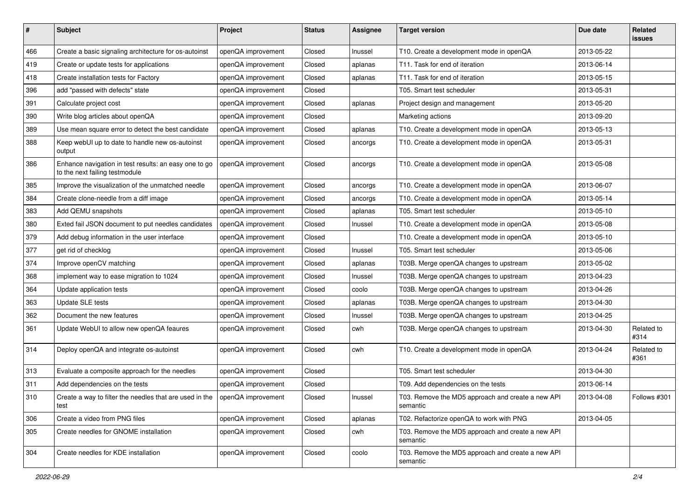| $\sharp$ | Subject                                                                                 | Project            | <b>Status</b> | <b>Assignee</b> | <b>Target version</b>                                         | Due date   | <b>Related</b><br><b>issues</b> |
|----------|-----------------------------------------------------------------------------------------|--------------------|---------------|-----------------|---------------------------------------------------------------|------------|---------------------------------|
| 466      | Create a basic signaling architecture for os-autoinst                                   | openQA improvement | Closed        | Inussel         | T10. Create a development mode in openQA                      | 2013-05-22 |                                 |
| 419      | Create or update tests for applications                                                 | openQA improvement | Closed        | aplanas         | T11. Task for end of iteration                                | 2013-06-14 |                                 |
| 418      | Create installation tests for Factory                                                   | openQA improvement | Closed        | aplanas         | T11. Task for end of iteration                                | 2013-05-15 |                                 |
| 396      | add "passed with defects" state                                                         | openQA improvement | Closed        |                 | T05. Smart test scheduler                                     | 2013-05-31 |                                 |
| 391      | Calculate project cost                                                                  | openQA improvement | Closed        | aplanas         | Project design and management                                 | 2013-05-20 |                                 |
| 390      | Write blog articles about openQA                                                        | openQA improvement | Closed        |                 | Marketing actions                                             | 2013-09-20 |                                 |
| 389      | Use mean square error to detect the best candidate                                      | openQA improvement | Closed        | aplanas         | T10. Create a development mode in openQA                      | 2013-05-13 |                                 |
| 388      | Keep webUI up to date to handle new os-autoinst<br>output                               | openQA improvement | Closed        | ancorgs         | T10. Create a development mode in openQA                      | 2013-05-31 |                                 |
| 386      | Enhance navigation in test results: an easy one to go<br>to the next failing testmodule | openQA improvement | Closed        | ancorgs         | T10. Create a development mode in openQA                      | 2013-05-08 |                                 |
| 385      | Improve the visualization of the unmatched needle                                       | openQA improvement | Closed        | ancorgs         | T10. Create a development mode in openQA                      | 2013-06-07 |                                 |
| 384      | Create clone-needle from a diff image                                                   | openQA improvement | Closed        | ancorgs         | T10. Create a development mode in openQA                      | 2013-05-14 |                                 |
| 383      | Add QEMU snapshots                                                                      | openQA improvement | Closed        | aplanas         | T05. Smart test scheduler                                     | 2013-05-10 |                                 |
| 380      | Exted fail JSON document to put needles candidates                                      | openQA improvement | Closed        | Inussel         | T10. Create a development mode in openQA                      | 2013-05-08 |                                 |
| 379      | Add debug information in the user interface                                             | openQA improvement | Closed        |                 | T10. Create a development mode in openQA                      | 2013-05-10 |                                 |
| 377      | get rid of checklog                                                                     | openQA improvement | Closed        | Inussel         | T05. Smart test scheduler                                     | 2013-05-06 |                                 |
| 374      | Improve openCV matching                                                                 | openQA improvement | Closed        | aplanas         | T03B. Merge openQA changes to upstream                        | 2013-05-02 |                                 |
| 368      | implement way to ease migration to 1024                                                 | openQA improvement | Closed        | Inussel         | T03B. Merge openQA changes to upstream                        | 2013-04-23 |                                 |
| 364      | Update application tests                                                                | openQA improvement | Closed        | coolo           | T03B. Merge openQA changes to upstream                        | 2013-04-26 |                                 |
| 363      | Update SLE tests                                                                        | openQA improvement | Closed        | aplanas         | T03B. Merge openQA changes to upstream                        | 2013-04-30 |                                 |
| 362      | Document the new features                                                               | openQA improvement | Closed        | Inussel         | T03B. Merge openQA changes to upstream                        | 2013-04-25 |                                 |
| 361      | Update WebUI to allow new openQA feaures                                                | openQA improvement | Closed        | cwh             | T03B. Merge openQA changes to upstream                        | 2013-04-30 | Related to<br>#314              |
| 314      | Deploy openQA and integrate os-autoinst                                                 | openQA improvement | Closed        | cwh             | T10. Create a development mode in openQA                      | 2013-04-24 | Related to<br>#361              |
| 313      | Evaluate a composite approach for the needles                                           | openQA improvement | Closed        |                 | T05. Smart test scheduler                                     | 2013-04-30 |                                 |
| 311      | Add dependencies on the tests                                                           | openQA improvement | Closed        |                 | T09. Add dependencies on the tests                            | 2013-06-14 |                                 |
| 310      | Create a way to filter the needles that are used in the<br>test                         | openQA improvement | Closed        | Inussel         | T03. Remove the MD5 approach and create a new API<br>semantic | 2013-04-08 | Follows #301                    |
| 306      | Create a video from PNG files                                                           | openQA improvement | Closed        | aplanas         | T02. Refactorize openQA to work with PNG                      | 2013-04-05 |                                 |
| 305      | Create needles for GNOME installation                                                   | openQA improvement | Closed        | cwh             | T03. Remove the MD5 approach and create a new API<br>semantic |            |                                 |
| 304      | Create needles for KDE installation                                                     | openQA improvement | Closed        | coolo           | T03. Remove the MD5 approach and create a new API<br>semantic |            |                                 |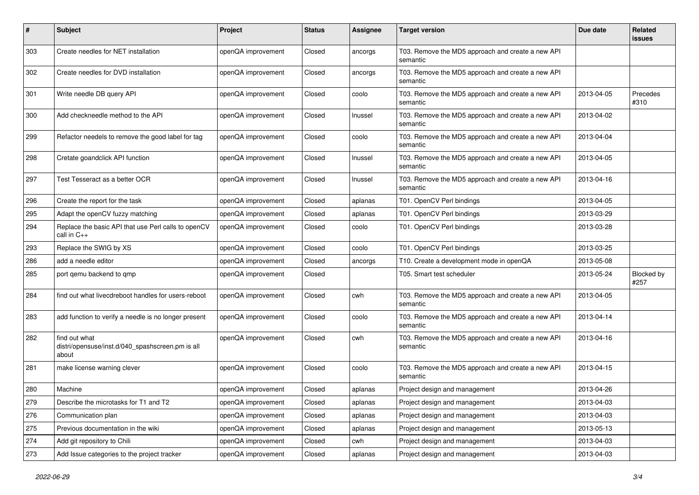| $\#$ | <b>Subject</b>                                                             | Project            | <b>Status</b> | <b>Assignee</b> | <b>Target version</b>                                         | Due date   | <b>Related</b><br><b>issues</b> |
|------|----------------------------------------------------------------------------|--------------------|---------------|-----------------|---------------------------------------------------------------|------------|---------------------------------|
| 303  | Create needles for NET installation                                        | openQA improvement | Closed        | ancorgs         | T03. Remove the MD5 approach and create a new API<br>semantic |            |                                 |
| 302  | Create needles for DVD installation                                        | openQA improvement | Closed        | ancorgs         | T03. Remove the MD5 approach and create a new API<br>semantic |            |                                 |
| 301  | Write needle DB query API                                                  | openQA improvement | Closed        | coolo           | T03. Remove the MD5 approach and create a new API<br>semantic | 2013-04-05 | Precedes<br>#310                |
| 300  | Add checkneedle method to the API                                          | openQA improvement | Closed        | Inussel         | T03. Remove the MD5 approach and create a new API<br>semantic | 2013-04-02 |                                 |
| 299  | Refactor needels to remove the good label for tag                          | openQA improvement | Closed        | coolo           | T03. Remove the MD5 approach and create a new API<br>semantic | 2013-04-04 |                                 |
| 298  | Cretate goandclick API function                                            | openQA improvement | Closed        | Inussel         | T03. Remove the MD5 approach and create a new API<br>semantic | 2013-04-05 |                                 |
| 297  | Test Tesseract as a better OCR                                             | openQA improvement | Closed        | Inussel         | T03. Remove the MD5 approach and create a new API<br>semantic | 2013-04-16 |                                 |
| 296  | Create the report for the task                                             | openQA improvement | Closed        | aplanas         | T01. OpenCV Perl bindings                                     | 2013-04-05 |                                 |
| 295  | Adapt the openCV fuzzy matching                                            | openQA improvement | Closed        | aplanas         | T01. OpenCV Perl bindings                                     | 2013-03-29 |                                 |
| 294  | Replace the basic API that use Perl calls to openCV<br>call in C++         | openQA improvement | Closed        | coolo           | T01. OpenCV Perl bindings                                     | 2013-03-28 |                                 |
| 293  | Replace the SWIG by XS                                                     | openQA improvement | Closed        | coolo           | T01. OpenCV Perl bindings                                     | 2013-03-25 |                                 |
| 286  | add a needle editor                                                        | openQA improvement | Closed        | ancorgs         | T10. Create a development mode in openQA                      | 2013-05-08 |                                 |
| 285  | port qemu backend to qmp                                                   | openQA improvement | Closed        |                 | T05. Smart test scheduler                                     | 2013-05-24 | Blocked by<br>#257              |
| 284  | find out what livecdreboot handles for users-reboot                        | openQA improvement | Closed        | cwh             | T03. Remove the MD5 approach and create a new API<br>semantic | 2013-04-05 |                                 |
| 283  | add function to verify a needle is no longer present                       | openQA improvement | Closed        | coolo           | T03. Remove the MD5 approach and create a new API<br>semantic | 2013-04-14 |                                 |
| 282  | find out what<br>distri/opensuse/inst.d/040_spashscreen.pm is all<br>about | openQA improvement | Closed        | cwh             | T03. Remove the MD5 approach and create a new API<br>semantic | 2013-04-16 |                                 |
| 281  | make license warning clever                                                | openQA improvement | Closed        | coolo           | T03. Remove the MD5 approach and create a new API<br>semantic | 2013-04-15 |                                 |
| 280  | Machine                                                                    | openQA improvement | Closed        | aplanas         | Project design and management                                 | 2013-04-26 |                                 |
| 279  | Describe the microtasks for T1 and T2                                      | openQA improvement | Closed        | aplanas         | Project design and management                                 | 2013-04-03 |                                 |
| 276  | Communication plan                                                         | openQA improvement | Closed        | aplanas         | Project design and management                                 | 2013-04-03 |                                 |
| 275  | Previous documentation in the wiki                                         | openQA improvement | Closed        | aplanas         | Project design and management                                 | 2013-05-13 |                                 |
| 274  | Add git repository to Chili                                                | openQA improvement | Closed        | cwh             | Project design and management                                 | 2013-04-03 |                                 |
| 273  | Add Issue categories to the project tracker                                | openQA improvement | Closed        | aplanas         | Project design and management                                 | 2013-04-03 |                                 |